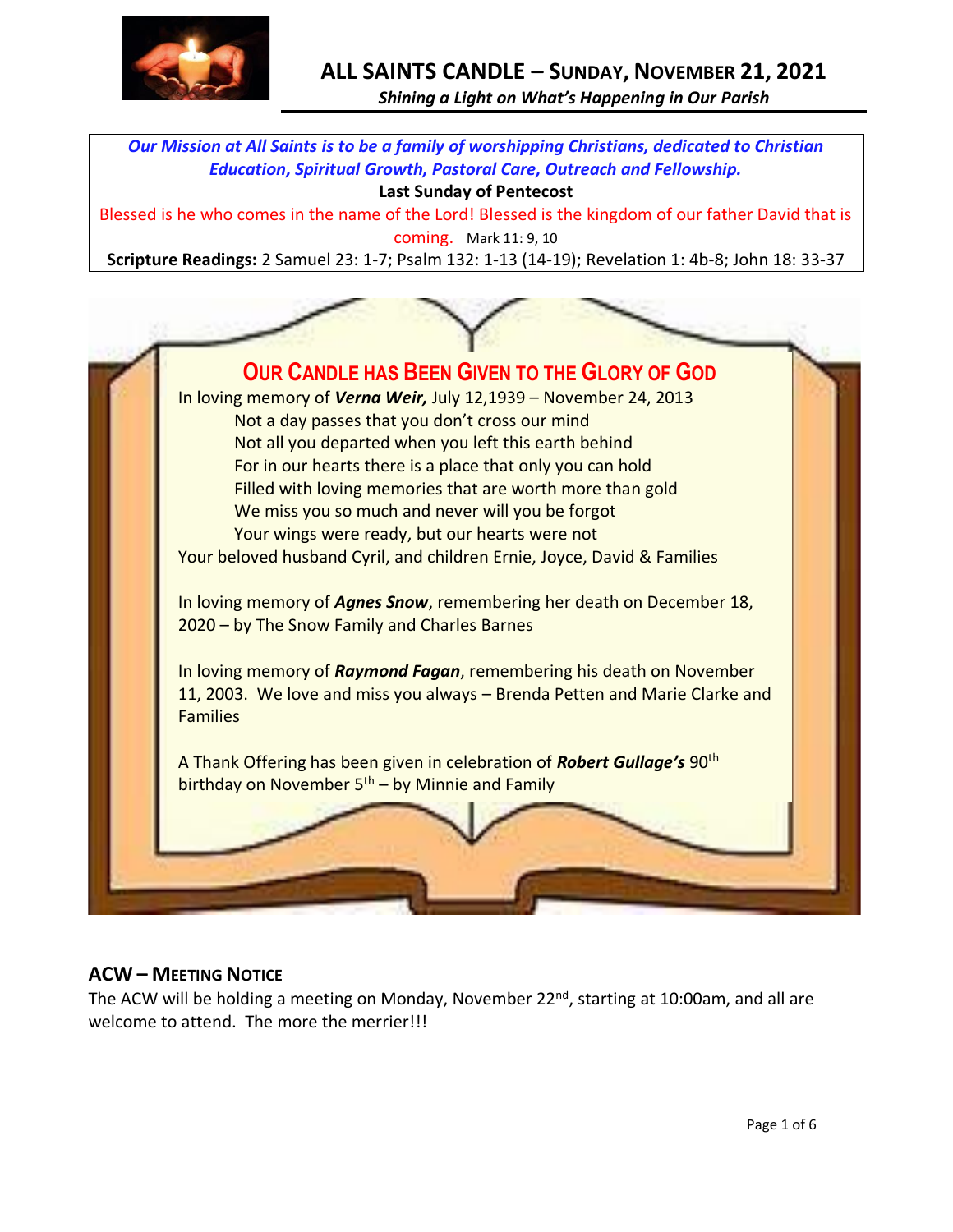

# **ALL SAINTS CANDLE – SUNDAY, NOVEMBER 21, 2021**

*Shining a Light on What's Happening in Our Parish*

*Our Mission at All Saints is to be a family of worshipping Christians, dedicated to Christian Education, Spiritual Growth, Pastoral Care, Outreach and Fellowship.*

#### **Last Sunday of Pentecost**

Blessed is he who comes in the name of the Lord! Blessed is the kingdom of our father David that is

coming. Mark 11: 9, 10

**Scripture Readings:** 2 Samuel 23: 1-7; Psalm 132: 1-13 (14-19); Revelation 1: 4b-8; John 18: 33-37



# **ACW – MEETING NOTICE**

The ACW will be holding a meeting on Monday, November 22<sup>nd</sup>, starting at 10:00am, and all are welcome to attend. The more the merrier!!!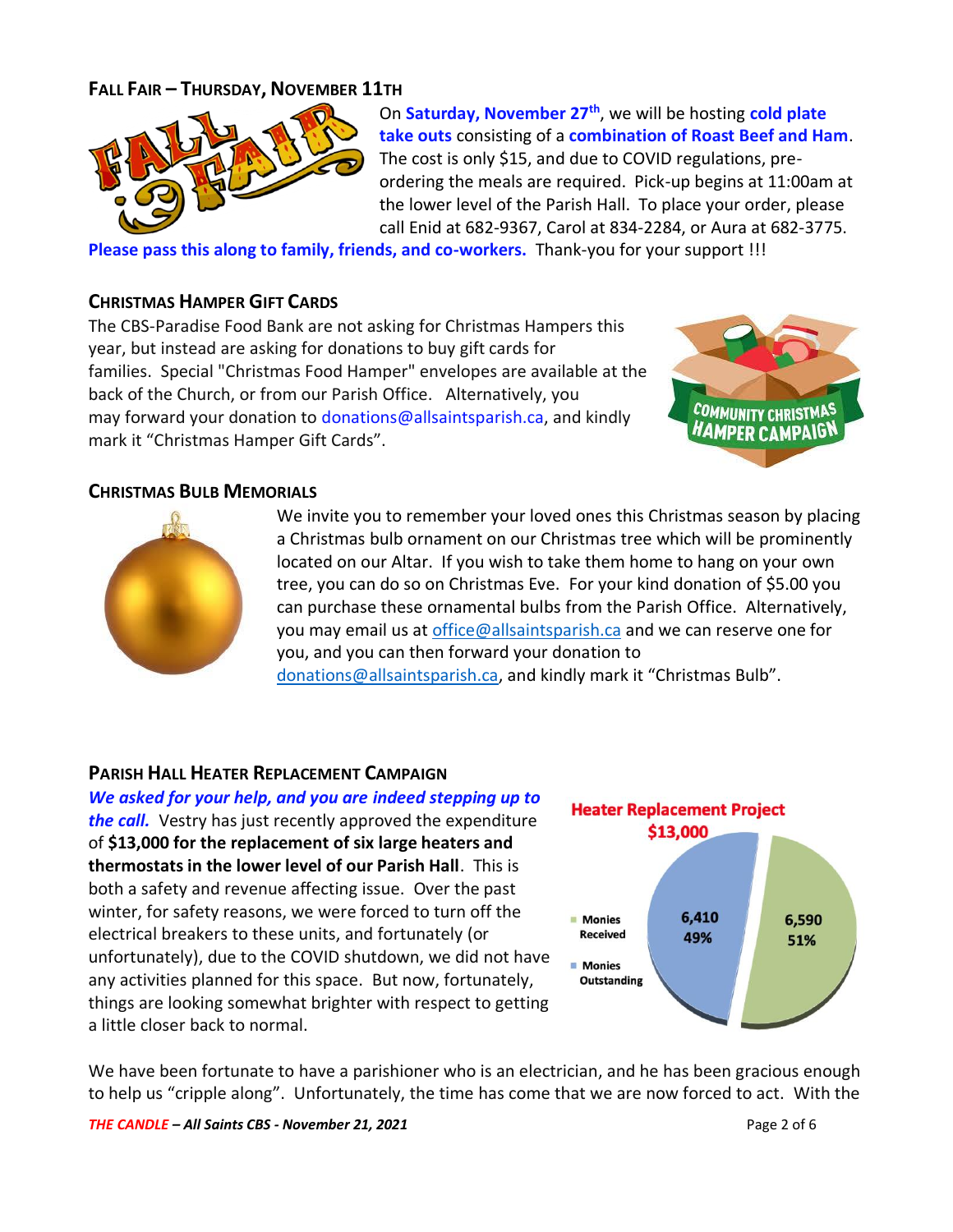# **FALL FAIR – THURSDAY, NOVEMBER 11TH**



On **Saturday, November 27th**, we will be hosting **cold plate take outs** consisting of a **combination of Roast Beef and Ham**. The cost is only \$15, and due to COVID regulations, preordering the meals are required. Pick-up begins at 11:00am at the lower level of the Parish Hall. To place your order, please call Enid at 682-9367, Carol at 834-2284, or Aura at 682-3775.

**Please pass this along to family, friends, and co-workers.** Thank-you for your support !!!

### **CHRISTMAS HAMPER GIFT CARDS**

The CBS-Paradise Food Bank are not asking for Christmas Hampers this year, but instead are asking for donations to buy gift cards for families. Special "Christmas Food Hamper" envelopes are available at the back of the Church, or from our Parish Office. Alternatively, you may forward your donation to [donations@allsaintsparish.ca,](mailto:donations@allsaintsparish.ca) and kindly mark it "Christmas Hamper Gift Cards".



### **CHRISTMAS BULB MEMORIALS**



We invite you to remember your loved ones this Christmas season by placing a Christmas bulb ornament on our Christmas tree which will be prominently located on our Altar. If you wish to take them home to hang on your own tree, you can do so on Christmas Eve. For your kind donation of \$5.00 you can purchase these ornamental bulbs from the Parish Office. Alternatively, you may email us a[t office@allsaintsparish.ca](mailto:office@allsaintsparish.ca) and we can reserve one for you, and you can then forward your donation to [donations@allsaintsparish.ca](mailto:donations@allsaintsparish.ca), and kindly mark it "Christmas Bulb".

### **PARISH HALL HEATER REPLACEMENT CAMPAIGN**

*We asked for your help, and you are indeed stepping up to the call.* Vestry has just recently approved the expenditure of **\$13,000 for the replacement of six large heaters and thermostats in the lower level of our Parish Hall**. This is both a safety and revenue affecting issue. Over the past winter, for safety reasons, we were forced to turn off the electrical breakers to these units, and fortunately (or unfortunately), due to the COVID shutdown, we did not have any activities planned for this space. But now, fortunately, things are looking somewhat brighter with respect to getting a little closer back to normal.



We have been fortunate to have a parishioner who is an electrician, and he has been gracious enough to help us "cripple along". Unfortunately, the time has come that we are now forced to act. With the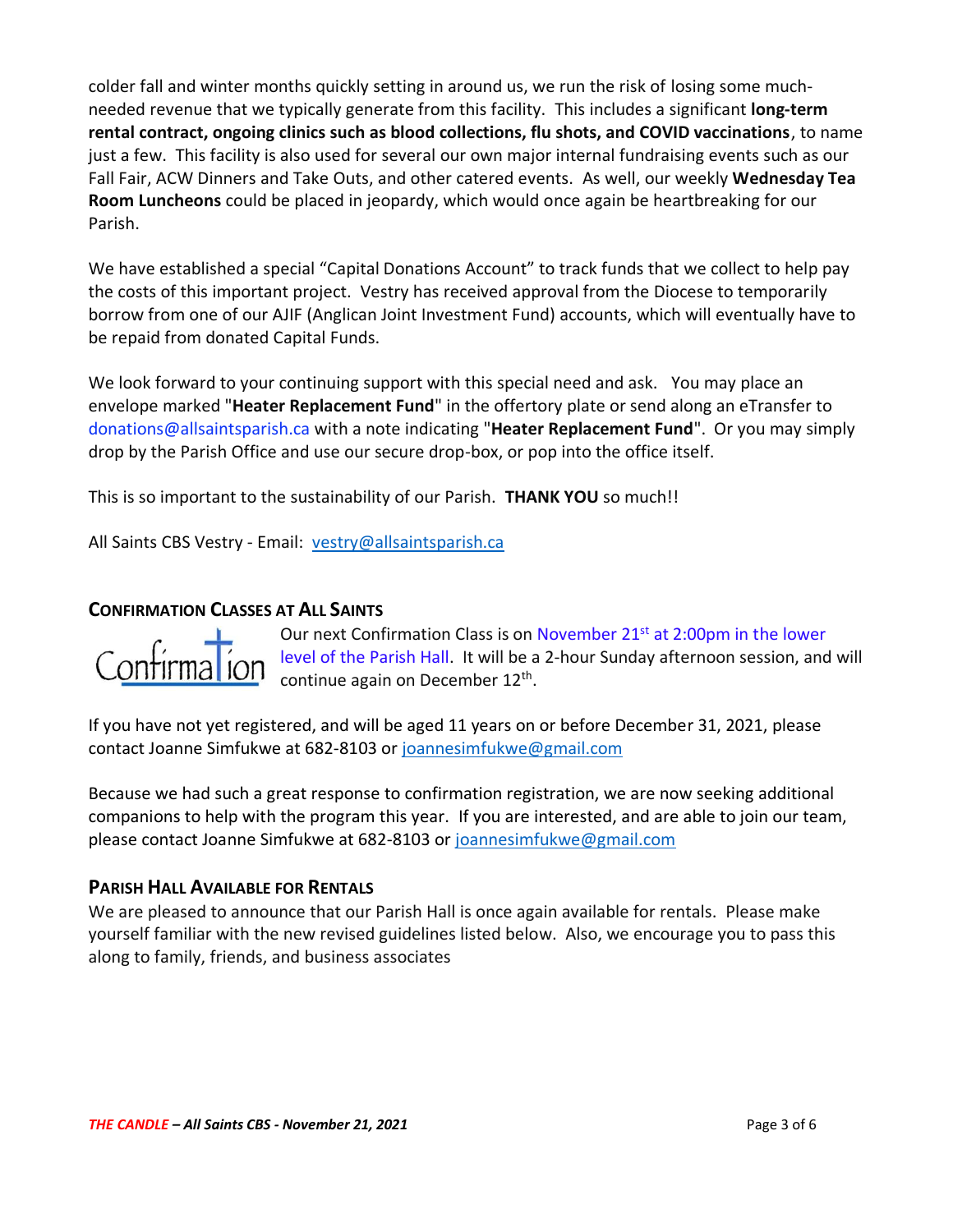colder fall and winter months quickly setting in around us, we run the risk of losing some muchneeded revenue that we typically generate from this facility. This includes a significant **long-term rental contract, ongoing clinics such as blood collections, flu shots, and COVID vaccinations**, to name just a few. This facility is also used for several our own major internal fundraising events such as our Fall Fair, ACW Dinners and Take Outs, and other catered events. As well, our weekly **Wednesday Tea Room Luncheons** could be placed in jeopardy, which would once again be heartbreaking for our Parish.

We have established a special "Capital Donations Account" to track funds that we collect to help pay the costs of this important project. Vestry has received approval from the Diocese to temporarily borrow from one of our AJIF (Anglican Joint Investment Fund) accounts, which will eventually have to be repaid from donated Capital Funds.

We look forward to your continuing support with this special need and ask. You may place an envelope marked "**Heater Replacement Fund**" in the offertory plate or send along an eTransfer to donations@allsaintsparish.ca with a note indicating "**Heater Replacement Fund**". Or you may simply drop by the Parish Office and use our secure drop-box, or pop into the office itself.

This is so important to the sustainability of our Parish. **THANK YOU** so much!!

All Saints CBS Vestry - Email: [vestry@allsaintsparish.ca](mailto:vestry@allsaintsparish.ca)

### **CONFIRMATION CLASSES AT ALL SAINTS**



Our next Confirmation Class is on November 21<sup>st</sup> at 2:00pm in the lower level of the Parish Hall. It will be a 2-hour Sunday afternoon session, and will continue again on December 12<sup>th</sup>.

If you have not yet registered, and will be aged 11 years on or before December 31, 2021, please contact Joanne Simfukwe at 682-8103 or [joannesimfukwe@gmail.com](mailto:joannesimfukwe@gmail.com)

Because we had such a great response to confirmation registration, we are now seeking additional companions to help with the program this year. If you are interested, and are able to join our team, please contact Joanne Simfukwe at 682-8103 or [joannesimfukwe@gmail.com](mailto:joannesimfukwe@gmail.com)

### **PARISH HALL AVAILABLE FOR RENTALS**

We are pleased to announce that our Parish Hall is once again available for rentals. Please make yourself familiar with the new revised guidelines listed below. Also, we encourage you to pass this along to family, friends, and business associates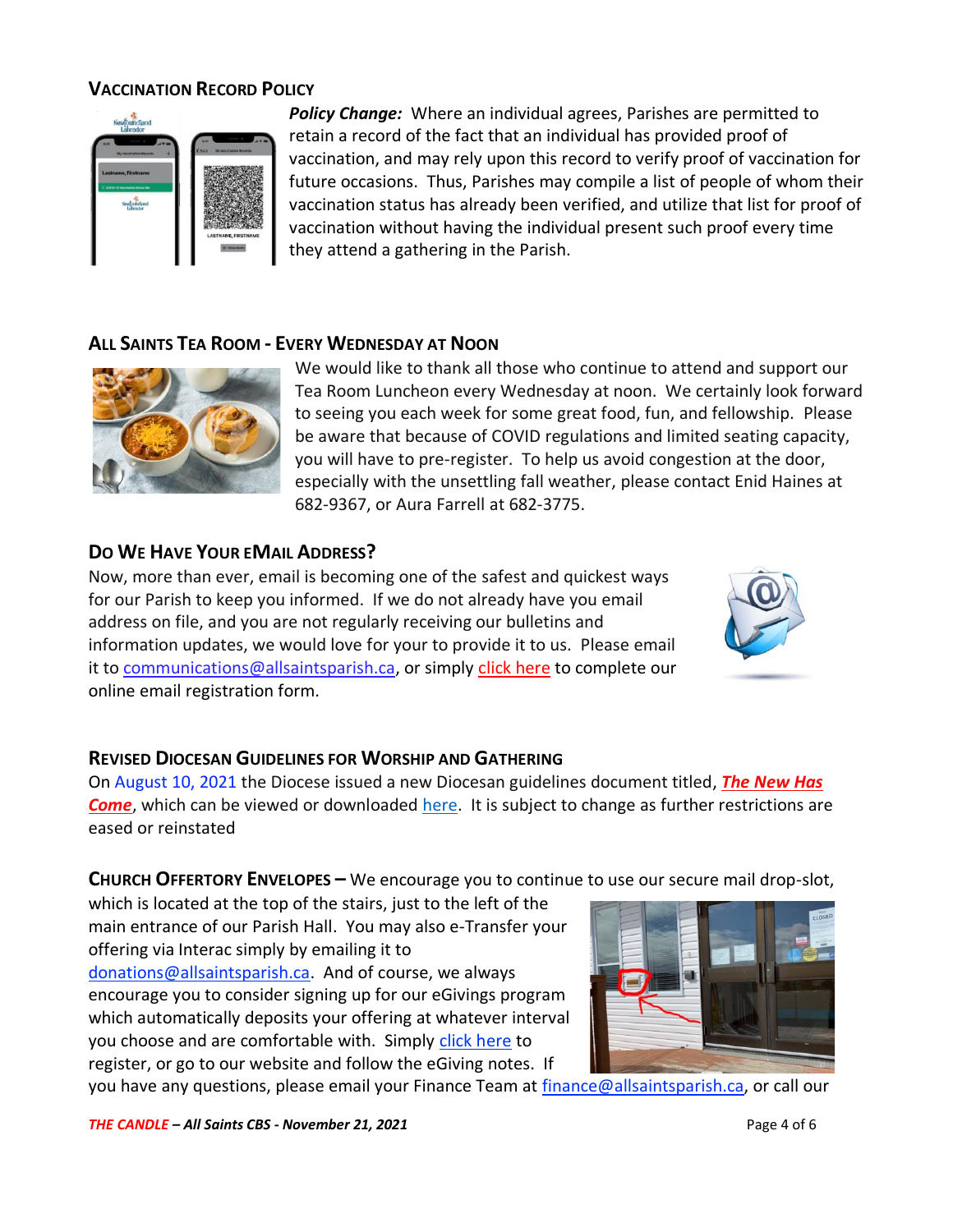# **VACCINATION RECORD POLICY**



*Policy Change:* Where an individual agrees, Parishes are permitted to retain a record of the fact that an individual has provided proof of vaccination, and may rely upon this record to verify proof of vaccination for future occasions. Thus, Parishes may compile a list of people of whom their vaccination status has already been verified, and utilize that list for proof of vaccination without having the individual present such proof every time they attend a gathering in the Parish.

# **ALL SAINTS TEA ROOM - EVERY WEDNESDAY AT NOON**



We would like to thank all those who continue to attend and support our Tea Room Luncheon every Wednesday at noon. We certainly look forward to seeing you each week for some great food, fun, and fellowship. Please be aware that because of COVID regulations and limited seating capacity, you will have to pre-register. To help us avoid congestion at the door, especially with the unsettling fall weather, please contact Enid Haines at 682-9367, or Aura Farrell at 682-3775.

# **DO WE HAVE YOUR EMAIL ADDRESS?**

Now, more than ever, email is becoming one of the safest and quickest ways for our Parish to keep you informed. If we do not already have you email address on file, and you are not regularly receiving our bulletins and information updates, we would love for your to provide it to us. Please email it to [communications@allsaintsparish.ca,](mailto:communications@allsaintsparish.ca?subject=eMail%20Address%20Update) or simply [click here](http://allsaintsparish.ca/email_updates) to complete our online email registration form.



# **REVISED DIOCESAN GUIDELINES FOR WORSHIP AND GATHERING**

On August 10, 2021 the Diocese issued a new Diocesan guidelines document titled, *[The New Has](https://anglicanenl.net/home/wp-content/uploads/2021/08/The-New-Has-Come-August-10-2021.pdf?fbclid=IwAR2_9nhbxB2LEc3XOqAP_nvoRu4G5Mt6NWIYwOEYNI0OtUl0atv2QwCfCY0)*  **[Come](https://anglicanenl.net/home/wp-content/uploads/2021/08/The-New-Has-Come-August-10-2021.pdf?fbclid=IwAR2_9nhbxB2LEc3XOqAP_nvoRu4G5Mt6NWIYwOEYNI0OtUl0atv2QwCfCY0)**, which can be viewed or downloaded [here.](https://anglicanenl.net/home/wp-content/uploads/2021/08/The-New-Has-Come-August-10-2021.pdf?fbclid=IwAR2_9nhbxB2LEc3XOqAP_nvoRu4G5Mt6NWIYwOEYNI0OtUl0atv2QwCfCY0) It is subject to change as further restrictions are eased or reinstated

**CHURCH OFFERTORY ENVELOPES –** We encourage you to continue to use our secure mail drop-slot,

which is located at the top of the stairs, just to the left of the main entrance of our Parish Hall. You may also e-Transfer your offering via Interac simply by emailing it to [donations@allsaintsparish.ca.](mailto:donations@allsaintsparish.ca) And of course, we always encourage you to consider signing up for our eGivings program which automatically deposits your offering at whatever interval you choose and are comfortable with. Simply [click here](http://allsaintsparish.ca/egiving-online-information-form) to register, or go to our website and follow the eGiving notes. If

you have [any](https://wfsites-to.websitecreatorprotool.com/870a5dd5.com/Admin/%7BSK_NODEID__22939341__SK%7D) questions, please email your Finance Team at [finance@allsaintsparish.ca,](mailto:finance@allsaintsparish.ca) or call our

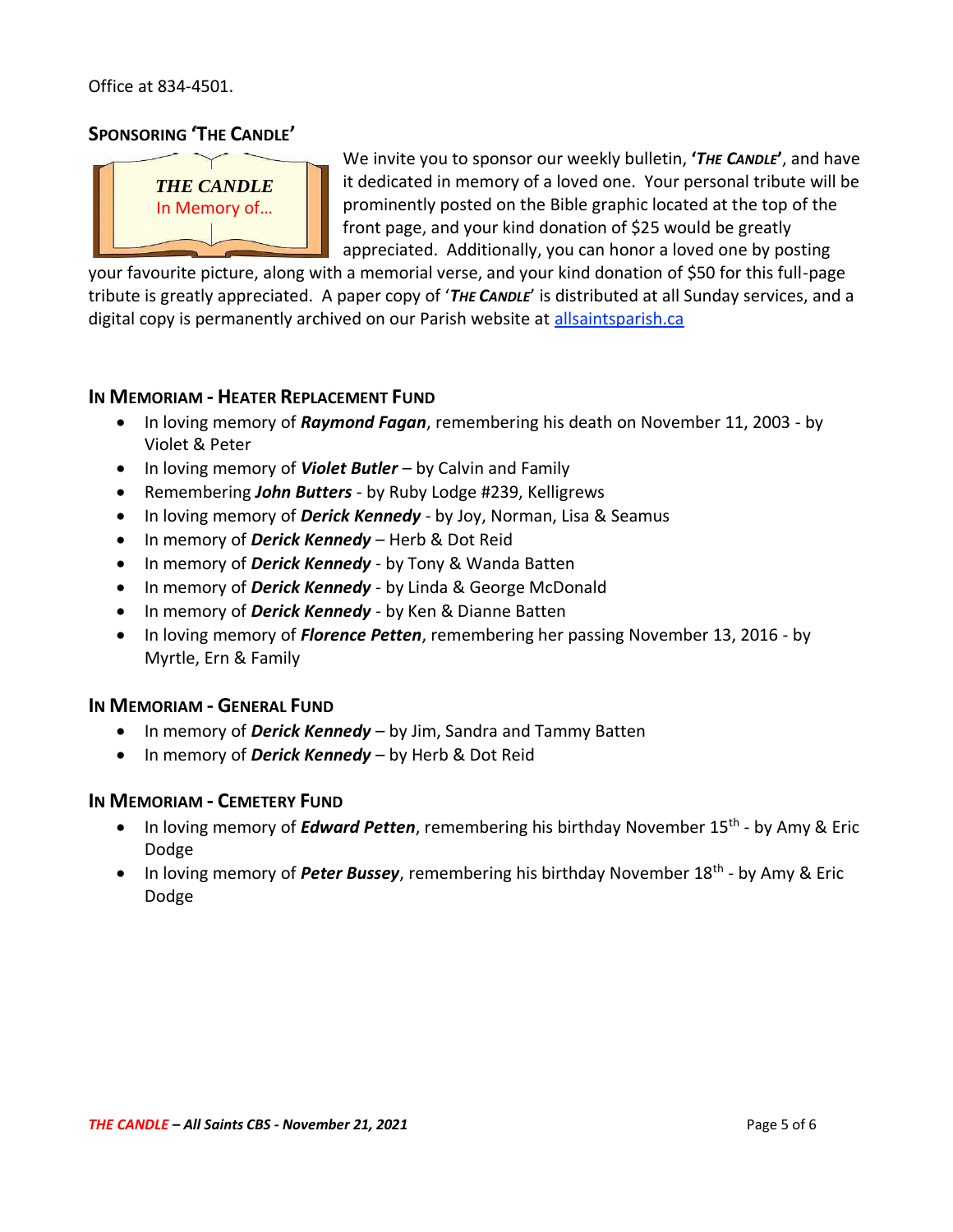Office at 834-4501.

# **SPONSORING 'THE CANDLE'**



We invite you to sponsor our weekly bulletin, **'***THE CANDLE***'**, and have it dedicated in memory of a loved one. Your personal tribute will be prominently posted on the Bible graphic located at the top of the front page, and your kind donation of \$25 would be greatly appreciated. Additionally, you can honor a loved one by posting

your favourite picture, along with a memorial verse, and your kind donation of \$50 for this full-page tribute is greatly appreciated. A paper copy of '*THE CANDLE*' is distributed at all Sunday services, and a digital copy is permanently archived on our Parish website at [allsaintsparish.ca](http://allsaintsparish.ca/thecandle.html)

### **IN MEMORIAM - HEATER REPLACEMENT FUND**

- In loving memory of *Raymond Fagan*, remembering his death on November 11, 2003 by Violet & Peter
- In loving memory of *Violet Butler* by Calvin and Family
- Remembering *John Butters* by Ruby Lodge #239, Kelligrews
- In loving memory of *Derick Kennedy* by Joy, Norman, Lisa & Seamus
- In memory of *Derick Kennedy* Herb & Dot Reid
- In memory of *Derick Kennedy* by Tony & Wanda Batten
- In memory of *Derick Kennedy* by Linda & George McDonald
- In memory of *Derick Kennedy* by Ken & Dianne Batten
- In loving memory of *Florence Petten*, remembering her passing November 13, 2016 by Myrtle, Ern & Family

### **IN MEMORIAM - GENERAL FUND**

- In memory of *Derick Kennedy* by Jim, Sandra and Tammy Batten
- In memory of *Derick Kennedy* by Herb & Dot Reid

### **IN MEMORIAM - CEMETERY FUND**

- In loving memory of *Edward Petten*, remembering his birthday November 15<sup>th</sup> by Amy & Eric Dodge
- In loving memory of *Peter Bussey*, remembering his birthday November 18<sup>th</sup> by Amy & Eric Dodge